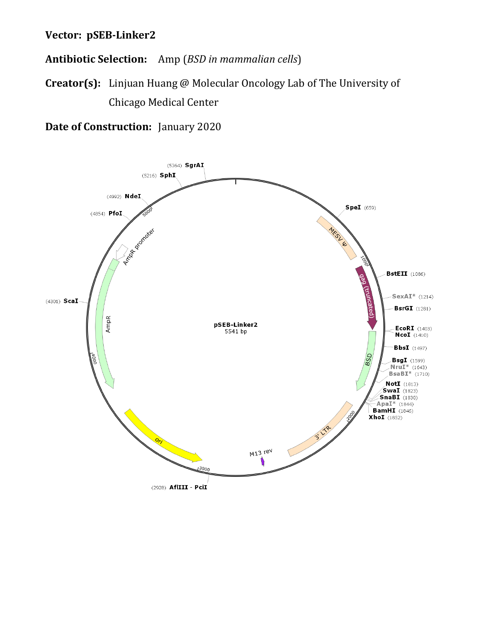## **Vector: pSEB-Linker2**

**Antibiotic Selection:** Amp (*BSD in mammalian cells*)

**Creator(s):** Linjuan Huang @ Molecular Oncology Lab of The University of Chicago Medical Center

**Date of Construction:** January 2020

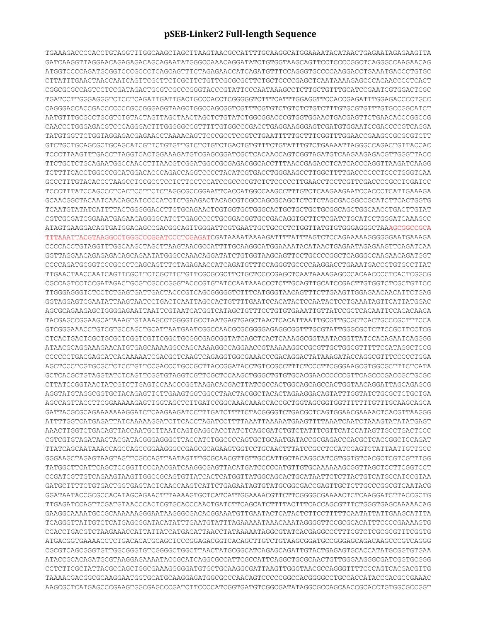## **pSEB-Linker2 Full-length Sequence**

TGAAAGACCCCACCTGTAGGTTTGGCAAGCTAGCTTAAGTAACGCCATTTTGCAAGGCATGGAAAATACATAACTGAGAATAGAGAAGTTA GATCAAGGTTAGGAACAGAGAGACAGCAGAATATGGGCCAAACAGGATATCTGTGGTAAGCAGTTCCTCCCCGGCTCAGGGCCAAGAACAG ATGGTCCCCAGATGCGGTCCCGCCCTCAGCAGTTTCTAGAGAACCATCAGATGTTTCCAGGGTGCCCCAAGGACCTGAAATGACCCTGTGC CTTATTTGAACTAACCAATCAGTTCGCTTCTCGCTTCTGTTCGCGCGCTTCTGCTCCCCGAGCTCAATAAAAGAGCCCACAACCCCTCACT CGGCGCGCCAGTCCTCCGATAGACTGCGTCGCCCGGGTACCCGTATTCCCAATAAAGCCTCTTGCTGTTTGCATCCGAATCGTGGACTCGC TGATCCTTGGGAGGGTCTCCTCAGATTGATTGACTGCCCACCTCGGGGGTCTTTCATTTGGAGGTTCCACCGAGATTTGGAGACCCCTGCC CAGGGACCACCGACCCCCCCGCCGGGAGGTAAGCTGGCCAGCGGTCGTTTCGTGTCTGTCTCTGTCTTTGTGCGTGTTTGTGCCGGCATCT AATGTTTGCGCCTGCGTCTGTACTAGTTAGCTAACTAGCTCTGTATCTGGCGGACCCGTGGTGGAACTGACGAGTTCTGAACACCCGGCCG CAACCCTGGGAGACGTCCCAGGGACTTTGGGGGCCGTTTTTGTGGCCCGACCTGAGGAAGGGAGTCGATGTGGAATCCGACCCCGTCAGGA TATGTGGTTCTGGTAGGAGACGAGAACCTAAAACAGTTCCCGCCTCCGTCTGAATTTTTGCTTTCGGTTTGGAACCGAAGCCGCGCGTCTT GTCTGCTGCAGCGCTGCAGCATCGTTCTGTGTTGTCTCTGTCTGACTGTGTTTCTGTATTTGTCTGAAAATTAGGGCCAGACTGTTACCAC TCCCTTAAGTTTGACCTTAGGTCACTGGAAAGATGTCGAGCGGATCGCTCACAACCAGTCGGTAGATGTCAAGAAGAGACGTTGGGTTACC TTCTGCTCTGCAGAATGGCCAACCTTTAACGTCGGATGGCCGCGAGACGGCACCTTTAACCGAGACCTCATCACCCAGGTTAAGATCAAGG TCTTTTCACCTGGCCCGCATGGACACCCAGACCAGGTCCCCTACATCGTGACCTGGGAAGCCTTGGCTTTTGACCCCCCTCCCTGGGTCAA GCCCTTTGTACACCCTAAGCCTCCGCCTCCTCTTCCTCCATCCGCCCCGTCTCTCCCCCTTGAACCTCCTCGTTCGACCCCGCCTCGATCC TCCCTTTATCCAGCCCTCACTCCTTCTCTAGGCGCCGGAATTCACCATGGCCAAGCCTTTGTCTCAAGAAGAATCCACCCTCATTGAAAGA GCAACGGCTACAATCAACAGCATCCCCATCTCTGAAGACTACAGCGTCGCCAGCGCAGCTCTCTCTAGCGACGGCCGCATCTTCACTGGTG TCAATGTATATCATTTTACTGGGGGACCTTGTGCAGAACTCGTGGTGCTGGGCACTGCTGCTGCTGCGGCAGCTGGCAACCTGACTTGTAT CGTCGCGATCGGAAATGAGAACAGGGGCATCTTGAGCCCCTGCGGACGGTGCCGACAGGTGCTTCTCGATCTGCATCCTGGGATCAAAGCC ATAGTGAAGGACAGTGATGGACAGCCGACGGCAGTTGGGATTCGTGAATTGCTGCCCTCTGGTTATGTGTGGGAGGGCTAAAGCGGCCGCA TTTAAATTACGTAAGGCCTGGGCCCGGATCCCTCGAGATCGATAAAATAAAAGATTTTATTTAGTCTCCAGAAAAAGGGGGGAATGAAAGA CCCCACCTGTAGGTTTGGCAAGCTAGCTTAAGTAACGCCATTTTGCAAGGCATGGAAAATACATAACTGAGAATAGAGAAGTTCAGATCAA GGTTAGGAACAGAGAGACAGCAGAATATGGGCCAAACAGGATATCTGTGGTAAGCAGTTCCTGCCCCGGCTCAGGGCCAAGAACAGATGGT CCCCAGATGCGGTCCCGCCCTCAGCAGTTTCTAGAGAACCATCAGATGTTTCCAGGGTGCCCCAAGGACCTGAAATGACCCTGTGCCTTAT TTGAACTAACCAATCAGTTCGCTTCTCGCTTCTGTTCGCGCGCTTCTGCTCCCCGAGCTCAATAAAAGAGCCCACAACCCCTCACTCGGCG CGCCAGTCCTCCGATAGACTGCGTCGCCCGGGTACCCGTGTATCCAATAAACCCTCTTGCAGTTGCATCCGACTTGTGGTCTCGCTGTTCC TTGGGAGGGTCTCCTCTGAGTGATTGACTACCCGTCAGCGGGGGTCTTTCATGGGTAACAGTTTCTTGAAGTTGGAGAACAACATTCTGAG GGTAGGAGTCGAATATTAAGTAATCCTGACTCAATTAGCCACTGTTTTGAATCCACATACTCCAATACTCCTGAAATAGTTCATTATGGAC AGCGCAGAAGAGCTGGGGAGAATTAATTCGTAATCATGGTCATAGCTGTTTCCTGTGTGAAATTGTTATCCGCTCACAATTCCACACAACA TACGAGCCGGAAGCATAAAGTGTAAAGCCTGGGGTGCCTAATGAGTGAGCTAACTCACATTAATTGCGTTGCGCTCACTGCCCGCTTTCCA GTCGGGAAACCTGTCGTGCCAGCTGCATTAATGAATCGGCCAACGCGCGGGGAGAGGCGGTTTGCGTATTGGGCGCTCTTCCGCTTCCTCG CTCACTGACTCGCTGCGCTCGGTCGTTCGGCTGCGGCGAGCGGTATCAGCTCACTCAAAGGCGGTAATACGGTTATCCACAGAATCAGGGG ATAACGCAGGAAAGAACATGTGAGCAAAAGGCCAGCAAAAGGCCAGGAACCGTAAAAAGGCCGCGTTGCTGGCGTTTTTCCATAGGCTCCG CCCCCCTGACGAGCATCACAAAAATCGACGCTCAAGTCAGAGGTGGCGAAACCCGACAGGACTATAAAGATACCAGGCGTTTCCCCCTGGA AGCTCCCTCGTGCGCTCTCCTGTTCCGACCCTGCCGCTTACCGGATACCTGTCCGCCTTTCTCCCTTCGGGAAGCGTGGCGCTTTCTCATA GCTCACGCTGTAGGTATCTCAGTTCGGTGTAGGTCGTTCGCTCCAAGCTGGGCTGTGTGCACGAACCCCCCGTTCAGCCCGACCGCTGCGC CTTATCCGGTAACTATCGTCTTGAGTCCAACCCGGTAAGACACGACTTATCGCCACTGGCAGCAGCCACTGGTAACAGGATTAGCAGAGCG AGGTATGTAGGCGGTGCTACAGAGTTCTTGAAGTGGTGGCCTAACTACGGCTACACTAGAAGGACAGTATTTGGTATCTGCGCTCTGCTGA AGCCAGTTACCTTCGGAAAAAGAGTTGGTAGCTCTTGATCCGGCAAACAAACCACCGCTGGTAGCGGTGGTTTTTTTGTTTGCAAGCAGCA GATTACGCGCAGAAAAAAAGGATCTCAAGAAGATCCTTTGATCTTTTCTACGGGGTCTGACGCTCAGTGGAACGAAAACTCACGTTAAGGG ATTTTGGTCATGAGATTATCAAAAAGGATCTTCACCTAGATCCTTTTAAATTAAAAATGAAGTTTTAAATCAATCTAAAGTATATATGAGT AAACTTGGTCTGACAGTTACCAATGCTTAATCAGTGAGGCACCTATCTCAGCGATCTGTCTATTTCGTTCATCCATAGTTGCCTGACTCCC CGTCGTGTAGATAACTACGATACGGGAGGGCTTACCATCTGGCCCCAGTGCTGCAATGATACCGCGAGACCCACGCTCACCGGCTCCAGAT TTATCAGCAATAAACCAGCCAGCCGGAAGGGCCGAGCGCAGAAGTGGTCCTGCAACTTTATCCGCCTCCATCCAGTCTATTAATTGTTGCC GGGAAGCTAGAGTAAGTAGTTCGCCAGTTAATAGTTTGCGCAACGTTGTTGCCATTGCTACAGGCATCGTGGTGTCACGCTCGTCGTTTGG TATGGCTTCATTCAGCTCCGGTTCCCAACGATCAAGGCGAGTTACATGATCCCCCATGTTGTGCAAAAAAGCGGTTAGCTCCTTCGGTCCT CCGATCGTTGTCAGAAGTAAGTTGGCCGCAGTGTTATCACTCATGGTTATGGCAGCACTGCATAATTCTCTTACTGTCATGCCATCCGTAA GATGCTTTTCTGTGACTGGTGAGTACTCAACCAAGTCATTCTGAGAATAGTGTATGCGGCGACCGAGTTGCTCTTGCCCGGCGTCAATACG GGATAATACCGCGCCACATAGCAGAACTTTAAAAGTGCTCATCATTGGAAAACGTTCTTCGGGGCGAAAACTCTCAAGGATCTTACCGCTG TTGAGATCCAGTTCGATGTAACCCACTCGTGCACCCAACTGATCTTCAGCATCTTTTACTTTCACCAGCGTTTCTGGGTGAGCAAAAACAG GAAGGCAAAATGCCGCAAAAAAGGGAATAAGGGCGACACGGAAATGTTGAATACTCATACTCTTCCTTTTTCAATATTATTGAAGCATTTA TCAGGGTTATTGTCTCATGAGCGGATACATATTTGAATGTATTTAGAAAAATAAACAAATAGGGGTTCCGCGCACATTTCCCCGAAAAGTG CCACCTGACGTCTAAGAAACCATTATTATCATGACATTAACCTATAAAAATAGGCGTATCACGAGGCCCTTTCGTCTCGCGCGTTTCGGTG ATGACGGTGAAAACCTCTGACACATGCAGCTCCCGGAGACGGTCACAGCTTGTCTGTAAGCGGATGCCGGGAGCAGACAAGCCCGTCAGGG CGCGTCAGCGGGTGTTGGCGGGTGTCGGGGCTGGCTTAACTATGCGGCATCAGAGCAGATTGTACTGAGAGTGCACCATATGCGGTGTGAA ATACCGCACAGATGCGTAAGGAGAAAATACCGCATCAGGCGCCATTCGCCATTCAGGCTGCGCAACTGTTGGGAAGGGCGATCGGTGCGGG CCTCTTCGCTATTACGCCAGCTGGCGAAAGGGGGATGTGCTGCAAGGCGATTAAGTTGGGTAACGCCAGGGTTTTCCCAGTCACGACGTTG TAAAACGACGGCGCAAGGAATGGTGCATGCAAGGAGATGGCGCCCAACAGTCCCCCGGCCACGGGGCCTGCCACCATACCCACGCCGAAAC AAGCGCTCATGAGCCCGAAGTGGCGAGCCCGATCTTCCCCATCGGTGATGTCGGCGATATAGGCGCCAGCAACCGCACCTGTGGCGCCGGT